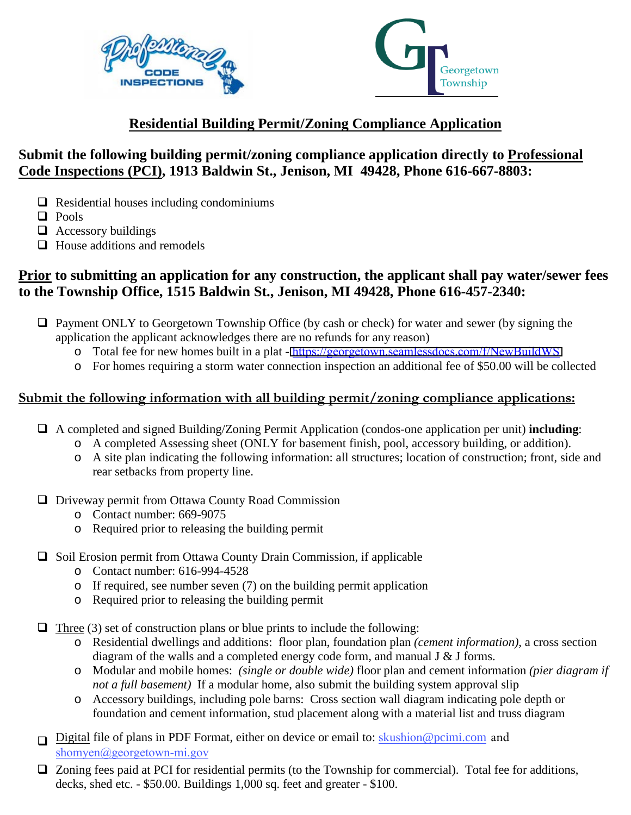



# **Residential Building Permit/Zoning Compliance Application**

# **Submit the following building permit/zoning compliance application directly to Professional Code Inspections (PCI), 1913 Baldwin St., Jenison, MI 49428, Phone 616-667-8803:**

- $\Box$  Residential houses including condominiums
- **D** Pools
- $\Box$  Accessory buildings
- $\Box$  House additions and remodels

## **Prior to submitting an application for any construction, the applicant shall pay water/sewer fees to the Township Office, 1515 Baldwin St., Jenison, MI 49428, Phone 616-457-2340:**

- $\Box$  Payment ONLY to Georgetown Township Office (by cash or check) for water and sewer (by signing the application the applicant acknowledges there are no refunds for any reason)
	- o Total fee for new homes built in a plat <https://georgetown.seamlessdocs.com/f/NewBuildWS>
	- o For homes requiring a storm water connection inspection an additional fee of \$50.00 will be collected

## **Submit the following information with all building permit/zoning compliance applications:**

- A completed and signed Building/Zoning Permit Application (condos-one application per unit) **including**:
	- o A completed Assessing sheet (ONLY for basement finish, pool, accessory building, or addition).
	- o A site plan indicating the following information: all structures; location of construction; front, side and rear setbacks from property line.
- $\Box$  Driveway permit from Ottawa County Road Commission
	- o Contact number: 669-9075
	- o Required prior to releasing the building permit
- $\Box$  Soil Erosion permit from Ottawa County Drain Commission, if applicable
	- o Contact number: 616-994-4528
	- o If required, see number seven (7) on the building permit application
	- o Required prior to releasing the building permit

 $\Box$  Three (3) set of construction plans or blue prints to include the following:

- o Residential dwellings and additions: floor plan, foundation plan *(cement information)*, a cross section diagram of the walls and a completed energy code form, and manual J & J forms.
- o Modular and mobile homes: *(single or double wide)* floor plan and cement information *(pier diagram if not a full basement)* If a modular home, also submit the building system approval slip
- o Accessory buildings, including pole barns: Cross section wall diagram indicating pole depth or foundation and cement information, stud placement along with a material list and truss diagram
- □ Digital file of plans in PDF Format, either on device or email to: skushion[@pcimi.com](skushion@pcimi.com) and shomyen@georgetown-mi.gov
- $\Box$  Zoning fees paid at PCI for residential permits (to the Township for commercial). Total fee for additions, decks, shed etc. - \$50.00. Buildings 1,000 sq. feet and greater - \$100.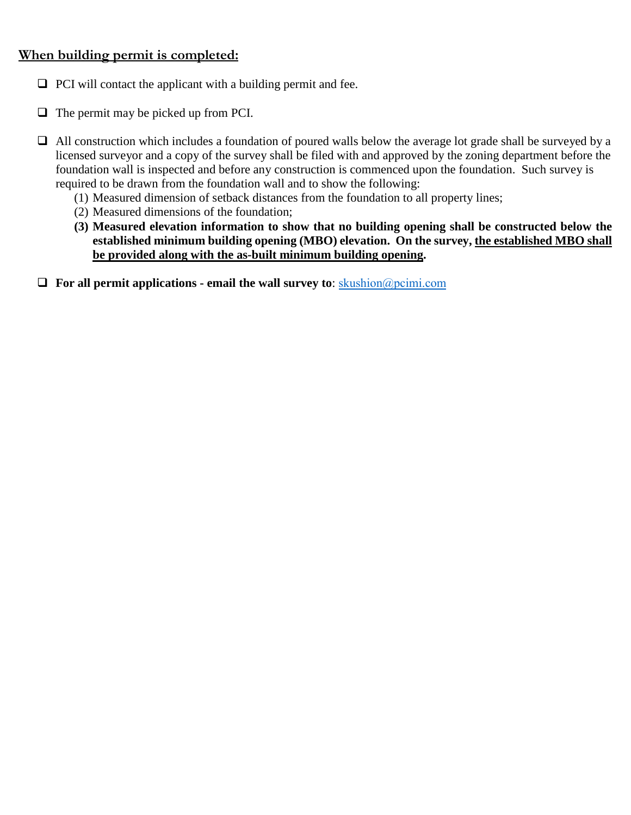## **When building permit is completed:**

- $\Box$  PCI will contact the applicant with a building permit and fee.
- $\Box$  The permit may be picked up from PCI.
- $\Box$  All construction which includes a foundation of poured walls below the average lot grade shall be surveyed by a licensed surveyor and a copy of the survey shall be filed with and approved by the zoning department before the foundation wall is inspected and before any construction is commenced upon the foundation. Such survey is required to be drawn from the foundation wall and to show the following:
	- (1) Measured dimension of setback distances from the foundation to all property lines;
	- (2) Measured dimensions of the foundation;
	- **(3) Measured elevation information to show that no building opening shall be constructed below the established minimum building opening (MBO) elevation. On the survey, the established MBO shall be provided along with the as-built minimum building opening.**
- **For all permit applications email the wall survey to**: <skushion@pcimi.com>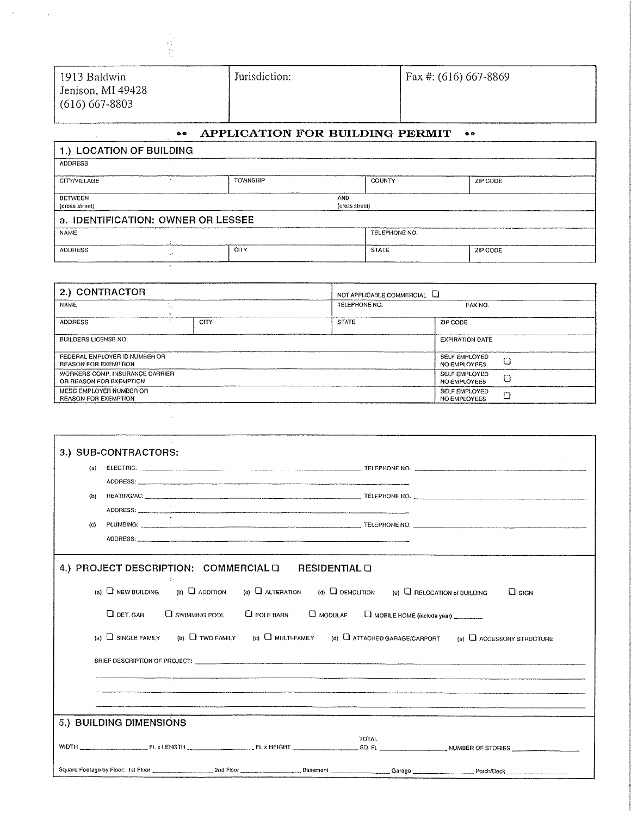| ι.                                                      |                                 |                       |  |
|---------------------------------------------------------|---------------------------------|-----------------------|--|
| 1913 Baldwin<br>Jenison, MI 49428<br>$(616) 667 - 8803$ | Jurisdiction:                   | Fax #: (616) 667-8869 |  |
| $\bullet \bullet$                                       | APPLICATION FOR BUILDING PERMIT | $\bullet$             |  |
| 1.) LOCATION OF BUILDING                                |                                 |                       |  |
| <b>ADDRESS</b>                                          |                                 |                       |  |

| <b>AUUMESS</b>                     |                 |                              |                 |  |  |
|------------------------------------|-----------------|------------------------------|-----------------|--|--|
| CITY/VILLAGE                       | <b>TOWNSHIP</b> | COUNTY                       | ZIP CODE        |  |  |
| BETWEEN<br>(cross street)          |                 | <b>AND</b><br>(cross street) |                 |  |  |
| a. IDENTIFICATION: OWNER OR LESSEE |                 |                              |                 |  |  |
| <b>NAME</b>                        |                 | TELEPHONE NO.                |                 |  |  |
| <b>ADDRESS</b>                     | CITY            | <b>STATE</b>                 | <b>ZIP CODE</b> |  |  |
|                                    |                 |                              |                 |  |  |

| 2.) CONTRACTOR                                               |      | NOT APPLICABLE COMMERCIAL U |                                             |
|--------------------------------------------------------------|------|-----------------------------|---------------------------------------------|
| <b>NAME</b>                                                  |      | TELEPHONE NO.               | FAX NO.                                     |
| <b>ADDRESS</b>                                               | CITY | <b>STATE</b>                | ZIP CODE                                    |
| <b>BUILDERS LICENSE NO.</b>                                  |      |                             | <b>EXPIRATION DATE</b>                      |
| FEDERAL EMPLOYER ID NUMBER OR<br><b>REASON FOR EXEMPTION</b> |      |                             | SELF EMPLOYED<br>NO EMPLOYEES               |
| WORKERS COMP. INSURANCE CARRIER<br>OR REASON FOR EXEMPTION   |      |                             | <b>SELF EMPLOYED</b><br><b>NO EMPLOYEES</b> |
| MESC EMPLOYER NUMBER OR<br><b>REASON FOR EXEMPTION</b>       |      |                             | SELF EMPLOYED<br>NO EMPLOYEES               |

| 3.) SUB-CONTRACTORS:                                                                                                                        |
|---------------------------------------------------------------------------------------------------------------------------------------------|
| (a)                                                                                                                                         |
| (b)<br>HEATING/AC:                                                                                                                          |
|                                                                                                                                             |
| (c)                                                                                                                                         |
|                                                                                                                                             |
| 4.) PROJECT DESCRIPTION: COMMERCIAL LI<br><b>RESIDENTIAL O</b>                                                                              |
| (a) $\Box$ NEW BUILDING (b) $\Box$ ADDITION<br>(c) $\Box$ alteration (d) $\Box$ demolition (e) $\Box$ relocation of building<br>$\Box$ sign |
| $Q$ DET. GAR<br>$\Box$ SWIMMING POOL<br>C POLE BARN C MODULAR C MOBILE HOME (include year)                                                  |
| (a) $\Box$ SINGLE FAMILY (b) $\Box$ TWO FAMILY (c) $\Box$ MULTI-FAMILY (d) $\Box$ ATTACHED GARAGE/CARPORT (a) $\Box$ ACCESSORY STRUCTURE    |
|                                                                                                                                             |
|                                                                                                                                             |
|                                                                                                                                             |
| 5.) BUILDING DIMENSIONS                                                                                                                     |
| <b>TOTAL</b>                                                                                                                                |
|                                                                                                                                             |
|                                                                                                                                             |

 $\sim 10^{10}$  km  $^{-1}$ 

 $\mathcal{A}^{\text{max}}$  and  $\mathcal{A}^{\text{max}}$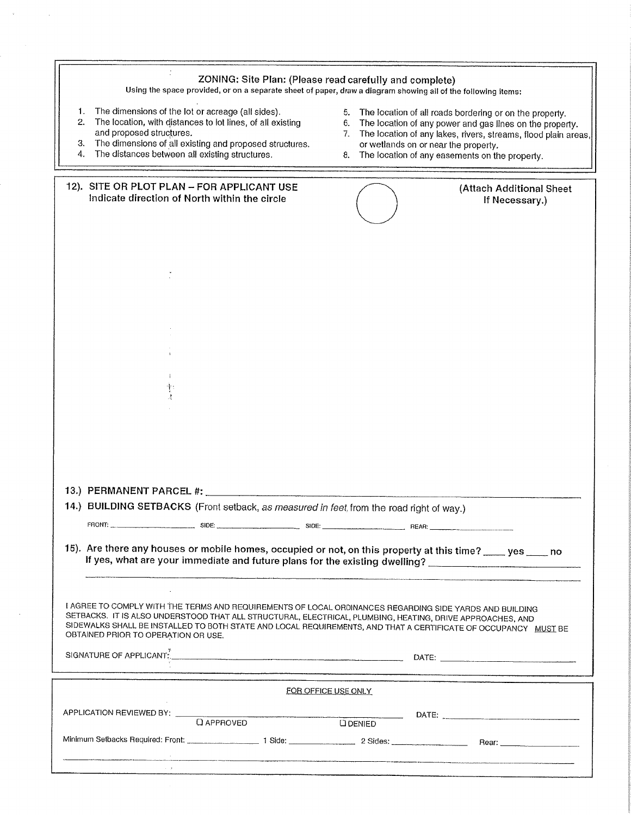| The dimensions of the lot or acreage (all sides).<br>1.<br>5.<br>The location of all roads bordering or on the property.<br>2.<br>The location, with distances to lot lines, of all existing<br>6.<br>The location of any power and gas lines on the property.<br>and proposed structures.<br>7.<br>The dimensions of all existing and proposed structures.<br>З.<br>or wetlands on or near the property.<br>The distances between all existing structures.<br>4.<br>The location of any easements on the property.<br>8.<br>12). SITE OR PLOT PLAN - FOR APPLICANT USE<br>(Attach Additional Sheet<br>Indicate direction of North within the circle<br>If Necessary.)<br>13.) PERMANENT PARCEL #:<br>14.) BUILDING SETBACKS (Front setback, as measured in feet, from the road right of way.)<br>15). Are there any houses or mobile homes, occupied or not, on this property at this time? ____ yes ____ no<br>If yes, what are your immediate and future plans for the existing dwelling? _________________________________<br>I AGREE TO COMPLY WITH THE TERMS AND REQUIREMENTS OF LOCAL ORDINANCES REGARDING SIDE YARDS AND BUILDING<br>SETBACKS. IT IS ALSO UNDERSTOOD THAT ALL STRUCTURAL, ELECTRICAL, PLUMBING, HEATING, DRIVE APPROACHES, AND<br>SIDEWALKS SHALL BE INSTALLED TO BOTH STATE AND LOCAL REQUIREMENTS, AND THAT A CERTIFICATE OF OCCUPANCY MUST BE<br>OBTAINED PRIOR TO OPERATION OR USE.<br>SIGNATURE OF APPLICANT. And the contract of the contract of the contract of the contract of the contract of the contract of the contract of the contract of the contract of the contract of the contract of the contract of th<br>FOR OFFICE USE ONLY<br>APPLICATION REVIEWED BY: Q APPROVED<br>DATE: PARTENT PRODUCTION CONTINUES.<br>$\overline{\phantom{a}}$<br><b>D</b> DENIED | ZONING: Site Plan: (Please read carefully and complete)<br>Using the space provided, or on a separate sheet of paper, draw a diagram showing all of the following items; |                                                                |
|-------------------------------------------------------------------------------------------------------------------------------------------------------------------------------------------------------------------------------------------------------------------------------------------------------------------------------------------------------------------------------------------------------------------------------------------------------------------------------------------------------------------------------------------------------------------------------------------------------------------------------------------------------------------------------------------------------------------------------------------------------------------------------------------------------------------------------------------------------------------------------------------------------------------------------------------------------------------------------------------------------------------------------------------------------------------------------------------------------------------------------------------------------------------------------------------------------------------------------------------------------------------------------------------------------------------------------------------------------------------------------------------------------------------------------------------------------------------------------------------------------------------------------------------------------------------------------------------------------------------------------------------------------------------------------------------------------------------------------------------------------------------------------------------------------|--------------------------------------------------------------------------------------------------------------------------------------------------------------------------|----------------------------------------------------------------|
|                                                                                                                                                                                                                                                                                                                                                                                                                                                                                                                                                                                                                                                                                                                                                                                                                                                                                                                                                                                                                                                                                                                                                                                                                                                                                                                                                                                                                                                                                                                                                                                                                                                                                                                                                                                                       |                                                                                                                                                                          | The location of any lakes, rivers, streams, flood plain areas, |
|                                                                                                                                                                                                                                                                                                                                                                                                                                                                                                                                                                                                                                                                                                                                                                                                                                                                                                                                                                                                                                                                                                                                                                                                                                                                                                                                                                                                                                                                                                                                                                                                                                                                                                                                                                                                       |                                                                                                                                                                          |                                                                |
|                                                                                                                                                                                                                                                                                                                                                                                                                                                                                                                                                                                                                                                                                                                                                                                                                                                                                                                                                                                                                                                                                                                                                                                                                                                                                                                                                                                                                                                                                                                                                                                                                                                                                                                                                                                                       |                                                                                                                                                                          |                                                                |
|                                                                                                                                                                                                                                                                                                                                                                                                                                                                                                                                                                                                                                                                                                                                                                                                                                                                                                                                                                                                                                                                                                                                                                                                                                                                                                                                                                                                                                                                                                                                                                                                                                                                                                                                                                                                       |                                                                                                                                                                          |                                                                |
|                                                                                                                                                                                                                                                                                                                                                                                                                                                                                                                                                                                                                                                                                                                                                                                                                                                                                                                                                                                                                                                                                                                                                                                                                                                                                                                                                                                                                                                                                                                                                                                                                                                                                                                                                                                                       |                                                                                                                                                                          |                                                                |
|                                                                                                                                                                                                                                                                                                                                                                                                                                                                                                                                                                                                                                                                                                                                                                                                                                                                                                                                                                                                                                                                                                                                                                                                                                                                                                                                                                                                                                                                                                                                                                                                                                                                                                                                                                                                       |                                                                                                                                                                          |                                                                |
|                                                                                                                                                                                                                                                                                                                                                                                                                                                                                                                                                                                                                                                                                                                                                                                                                                                                                                                                                                                                                                                                                                                                                                                                                                                                                                                                                                                                                                                                                                                                                                                                                                                                                                                                                                                                       |                                                                                                                                                                          |                                                                |
|                                                                                                                                                                                                                                                                                                                                                                                                                                                                                                                                                                                                                                                                                                                                                                                                                                                                                                                                                                                                                                                                                                                                                                                                                                                                                                                                                                                                                                                                                                                                                                                                                                                                                                                                                                                                       |                                                                                                                                                                          |                                                                |
|                                                                                                                                                                                                                                                                                                                                                                                                                                                                                                                                                                                                                                                                                                                                                                                                                                                                                                                                                                                                                                                                                                                                                                                                                                                                                                                                                                                                                                                                                                                                                                                                                                                                                                                                                                                                       |                                                                                                                                                                          |                                                                |
|                                                                                                                                                                                                                                                                                                                                                                                                                                                                                                                                                                                                                                                                                                                                                                                                                                                                                                                                                                                                                                                                                                                                                                                                                                                                                                                                                                                                                                                                                                                                                                                                                                                                                                                                                                                                       |                                                                                                                                                                          |                                                                |
|                                                                                                                                                                                                                                                                                                                                                                                                                                                                                                                                                                                                                                                                                                                                                                                                                                                                                                                                                                                                                                                                                                                                                                                                                                                                                                                                                                                                                                                                                                                                                                                                                                                                                                                                                                                                       |                                                                                                                                                                          |                                                                |
|                                                                                                                                                                                                                                                                                                                                                                                                                                                                                                                                                                                                                                                                                                                                                                                                                                                                                                                                                                                                                                                                                                                                                                                                                                                                                                                                                                                                                                                                                                                                                                                                                                                                                                                                                                                                       |                                                                                                                                                                          |                                                                |
|                                                                                                                                                                                                                                                                                                                                                                                                                                                                                                                                                                                                                                                                                                                                                                                                                                                                                                                                                                                                                                                                                                                                                                                                                                                                                                                                                                                                                                                                                                                                                                                                                                                                                                                                                                                                       |                                                                                                                                                                          |                                                                |
|                                                                                                                                                                                                                                                                                                                                                                                                                                                                                                                                                                                                                                                                                                                                                                                                                                                                                                                                                                                                                                                                                                                                                                                                                                                                                                                                                                                                                                                                                                                                                                                                                                                                                                                                                                                                       |                                                                                                                                                                          |                                                                |
|                                                                                                                                                                                                                                                                                                                                                                                                                                                                                                                                                                                                                                                                                                                                                                                                                                                                                                                                                                                                                                                                                                                                                                                                                                                                                                                                                                                                                                                                                                                                                                                                                                                                                                                                                                                                       |                                                                                                                                                                          |                                                                |
| Minimum Setbacks Required: Front: 1 Side: 1 Side: 2 Sides: 2 Sides: Rear: Rear:                                                                                                                                                                                                                                                                                                                                                                                                                                                                                                                                                                                                                                                                                                                                                                                                                                                                                                                                                                                                                                                                                                                                                                                                                                                                                                                                                                                                                                                                                                                                                                                                                                                                                                                       |                                                                                                                                                                          |                                                                |

 $\alpha$  ,  $\alpha$  ,  $\alpha$  ,  $\alpha$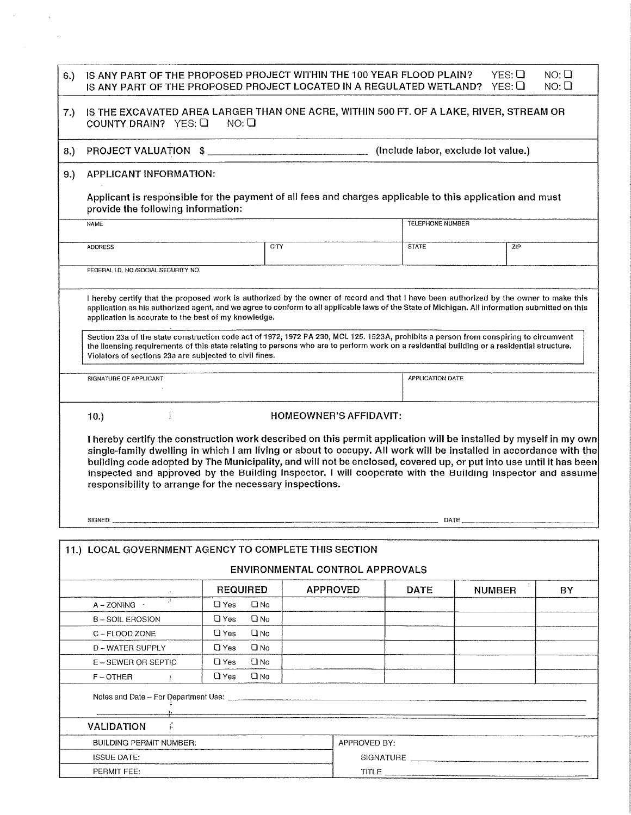| 6.) | IS ANY PART OF THE PROPOSED PROJECT WITHIN THE 100 YEAR FLOOD PLAIN?<br>IS ANY PART OF THE PROPOSED PROJECT LOCATED IN A REGULATED WETLAND?                                                                                                                                                                                                                                                                                                                                                                                                      |                            |                                        |                  | YES:Q<br>YES:Q                      | $NO: \Box$<br>NO:Q |
|-----|--------------------------------------------------------------------------------------------------------------------------------------------------------------------------------------------------------------------------------------------------------------------------------------------------------------------------------------------------------------------------------------------------------------------------------------------------------------------------------------------------------------------------------------------------|----------------------------|----------------------------------------|------------------|-------------------------------------|--------------------|
| 7.) | IS THE EXCAVATED AREA LARGER THAN ONE ACRE, WITHIN 500 FT. OF A LAKE, RIVER, STREAM OR<br>COUNTY DRAIN? YES: Q                                                                                                                                                                                                                                                                                                                                                                                                                                   | NO:Q                       |                                        |                  |                                     |                    |
| 8.) | PROJECT VALUATION \$                                                                                                                                                                                                                                                                                                                                                                                                                                                                                                                             |                            |                                        |                  | (Include labor, exclude lot value.) |                    |
| 9.) | APPLICANT INFORMATION:                                                                                                                                                                                                                                                                                                                                                                                                                                                                                                                           |                            |                                        |                  |                                     |                    |
|     | Applicant is responsible for the payment of all fees and charges applicable to this application and must<br>provide the following information:                                                                                                                                                                                                                                                                                                                                                                                                   |                            |                                        |                  |                                     |                    |
|     | <b>NAME</b>                                                                                                                                                                                                                                                                                                                                                                                                                                                                                                                                      |                            |                                        | TELEPHONE NUMBER |                                     |                    |
|     |                                                                                                                                                                                                                                                                                                                                                                                                                                                                                                                                                  |                            |                                        |                  |                                     |                    |
|     | <b>ADDRESS</b>                                                                                                                                                                                                                                                                                                                                                                                                                                                                                                                                   | CITY                       |                                        | <b>STATE</b>     | ZIP                                 |                    |
|     | FEDERAL I.D. NO./SOCIAL SECURITY NO.                                                                                                                                                                                                                                                                                                                                                                                                                                                                                                             |                            |                                        |                  |                                     |                    |
|     |                                                                                                                                                                                                                                                                                                                                                                                                                                                                                                                                                  |                            |                                        |                  |                                     |                    |
|     | I hereby certify that the proposed work is authorized by the owner of record and that I have been authorized by the owner to make this<br>application as his authorized agent, and we agree to conform to all applicable laws of the State of Michigan. All information submitted on this<br>application is accurate to the best of my knowledge.                                                                                                                                                                                                |                            |                                        |                  |                                     |                    |
|     | Section 23a of the state construction code act of 1972, 1972 PA 230, MCL 125. 1523A, prohibits a person from conspiring to circumvent<br>the licensing requirements of this state relating to persons who are to perform work on a residential building or a residential structure.<br>Violators of sections 23a are subjected to civil fines.                                                                                                                                                                                                   |                            |                                        |                  |                                     |                    |
|     | SIGNATURE OF APPLICANT                                                                                                                                                                                                                                                                                                                                                                                                                                                                                                                           |                            |                                        | APPLICATION DATE |                                     |                    |
|     | Ţ<br>10.<br>Thereby certify the construction work described on this permit application will be installed by myself in my own<br>single-family dwelling in which I am living or about to occupy. All work will be installed in accordance with the<br>building code adopted by The Municipality, and will not be enclosed, covered up, or put into use until it has been<br>inspected and approved by the Building Inspector. I will cooperate with the Building Inspector and assume<br>responsibility to arrange for the necessary inspections. |                            | HOMEOWNER'S AFFIDAVIT:                 |                  |                                     |                    |
|     | SIGNED:                                                                                                                                                                                                                                                                                                                                                                                                                                                                                                                                          |                            |                                        |                  |                                     |                    |
|     |                                                                                                                                                                                                                                                                                                                                                                                                                                                                                                                                                  |                            |                                        |                  |                                     |                    |
|     | 11.) LOCAL GOVERNMENT AGENCY TO COMPLETE THIS SECTION                                                                                                                                                                                                                                                                                                                                                                                                                                                                                            |                            | <b>ENVIRONMENTAL CONTROL APPROVALS</b> |                  |                                     |                    |
|     |                                                                                                                                                                                                                                                                                                                                                                                                                                                                                                                                                  | <b>REQUIRED</b>            | <b>APPROVED</b>                        | <b>DATE</b>      |                                     | BY.                |
|     | з.<br>$A - ZONING$                                                                                                                                                                                                                                                                                                                                                                                                                                                                                                                               | <b>О</b> Yes<br>Q No       |                                        |                  | <b>NUMBER</b>                       |                    |
|     | <b>B-SOIL EROSION</b>                                                                                                                                                                                                                                                                                                                                                                                                                                                                                                                            | $\Box$ Yes<br>Q No         |                                        |                  |                                     |                    |
|     | C - FLOOD ZONE                                                                                                                                                                                                                                                                                                                                                                                                                                                                                                                                   | $\square$ No<br>$\Box$ Yes |                                        |                  |                                     |                    |
|     | D - WATER SUPPLY                                                                                                                                                                                                                                                                                                                                                                                                                                                                                                                                 | $\Box$ Yes<br>$\square$ No |                                        |                  |                                     |                    |
|     | E – SEWER OR SEPTIC                                                                                                                                                                                                                                                                                                                                                                                                                                                                                                                              | $\Box$ Yes<br><b>CI</b> No |                                        |                  |                                     |                    |
|     | $F - OTHER$                                                                                                                                                                                                                                                                                                                                                                                                                                                                                                                                      | $Q$ Yes<br><b>Q</b> No     |                                        |                  |                                     |                    |
|     |                                                                                                                                                                                                                                                                                                                                                                                                                                                                                                                                                  |                            |                                        |                  |                                     |                    |
|     |                                                                                                                                                                                                                                                                                                                                                                                                                                                                                                                                                  |                            |                                        |                  |                                     |                    |
|     | <b>VALIDATION</b>                                                                                                                                                                                                                                                                                                                                                                                                                                                                                                                                |                            |                                        |                  |                                     |                    |
|     | <b>BUILDING PERMIT NUMBER:</b>                                                                                                                                                                                                                                                                                                                                                                                                                                                                                                                   |                            | APPROVED BY:                           |                  |                                     |                    |

 $TITLE$ 

 $\label{eq:2.1} \mathcal{F}(\mathcal{F}) = \mathcal{F}(\mathcal{F}) \mathcal{F}(\mathcal{F})$ 

PERMIT FEE: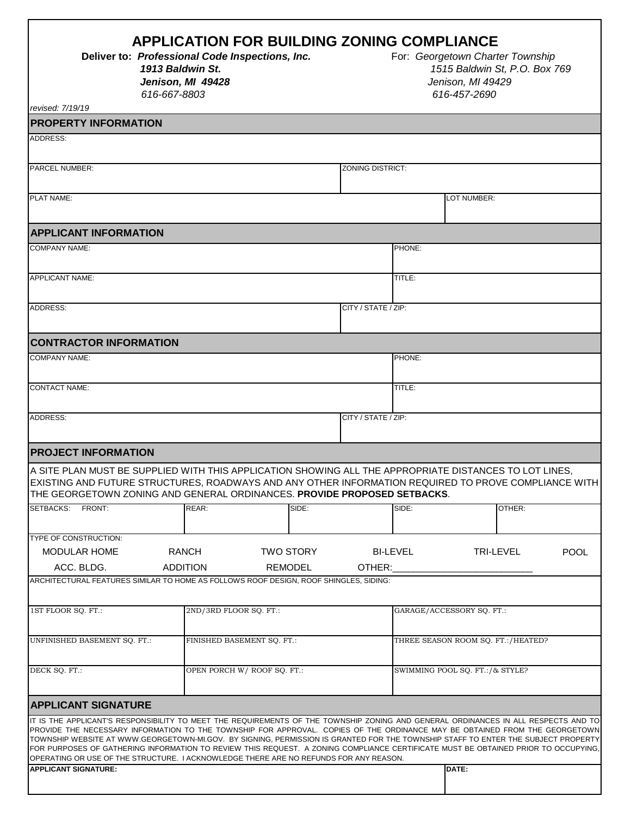|                                                                                                                                                                                                                                                                                                                                                                                                                                                                                                                                                                                                                                       | 1913 Baldwin St.<br>616-667-8803 | <b>APPLICATION FOR BUILDING ZONING COMPLIANCE</b><br>Deliver to: Professional Code Inspections, Inc.<br>Jenison, MI 49428 |                                    |                                 |                           | For: Georgetown Charter Township | 1515 Baldwin St, P.O. Box 769<br>Jenison, MI 49429<br>616-457-2690 |                  |             |
|---------------------------------------------------------------------------------------------------------------------------------------------------------------------------------------------------------------------------------------------------------------------------------------------------------------------------------------------------------------------------------------------------------------------------------------------------------------------------------------------------------------------------------------------------------------------------------------------------------------------------------------|----------------------------------|---------------------------------------------------------------------------------------------------------------------------|------------------------------------|---------------------------------|---------------------------|----------------------------------|--------------------------------------------------------------------|------------------|-------------|
| revised: 7/19/19                                                                                                                                                                                                                                                                                                                                                                                                                                                                                                                                                                                                                      |                                  |                                                                                                                           |                                    |                                 |                           |                                  |                                                                    |                  |             |
| <b>PROPERTY INFORMATION</b><br><b>ADDRESS:</b>                                                                                                                                                                                                                                                                                                                                                                                                                                                                                                                                                                                        |                                  |                                                                                                                           |                                    |                                 |                           |                                  |                                                                    |                  |             |
|                                                                                                                                                                                                                                                                                                                                                                                                                                                                                                                                                                                                                                       |                                  |                                                                                                                           |                                    |                                 |                           |                                  |                                                                    |                  |             |
| <b>PARCEL NUMBER:</b>                                                                                                                                                                                                                                                                                                                                                                                                                                                                                                                                                                                                                 |                                  |                                                                                                                           |                                    |                                 | <b>ZONING DISTRICT:</b>   |                                  |                                                                    |                  |             |
| PLAT NAME:                                                                                                                                                                                                                                                                                                                                                                                                                                                                                                                                                                                                                            |                                  |                                                                                                                           |                                    |                                 |                           |                                  | LOT NUMBER:                                                        |                  |             |
| <b>APPLICANT INFORMATION</b>                                                                                                                                                                                                                                                                                                                                                                                                                                                                                                                                                                                                          |                                  |                                                                                                                           |                                    |                                 |                           |                                  |                                                                    |                  |             |
| <b>COMPANY NAME:</b>                                                                                                                                                                                                                                                                                                                                                                                                                                                                                                                                                                                                                  |                                  |                                                                                                                           |                                    |                                 |                           | PHONE:                           |                                                                    |                  |             |
| <b>APPLICANT NAME:</b>                                                                                                                                                                                                                                                                                                                                                                                                                                                                                                                                                                                                                |                                  |                                                                                                                           |                                    |                                 |                           | TITLE:                           |                                                                    |                  |             |
| ADDRESS:                                                                                                                                                                                                                                                                                                                                                                                                                                                                                                                                                                                                                              |                                  |                                                                                                                           |                                    |                                 | CITY / STATE / ZIP:       |                                  |                                                                    |                  |             |
| <b>CONTRACTOR INFORMATION</b>                                                                                                                                                                                                                                                                                                                                                                                                                                                                                                                                                                                                         |                                  |                                                                                                                           |                                    |                                 |                           |                                  |                                                                    |                  |             |
| <b>COMPANY NAME:</b>                                                                                                                                                                                                                                                                                                                                                                                                                                                                                                                                                                                                                  |                                  |                                                                                                                           |                                    |                                 |                           | PHONE:                           |                                                                    |                  |             |
| <b>CONTACT NAME:</b>                                                                                                                                                                                                                                                                                                                                                                                                                                                                                                                                                                                                                  |                                  |                                                                                                                           |                                    |                                 |                           | TITLE:                           |                                                                    |                  |             |
| ADDRESS:                                                                                                                                                                                                                                                                                                                                                                                                                                                                                                                                                                                                                              |                                  |                                                                                                                           |                                    |                                 | CITY / STATE / ZIP:       |                                  |                                                                    |                  |             |
| <b>PROJECT INFORMATION</b>                                                                                                                                                                                                                                                                                                                                                                                                                                                                                                                                                                                                            |                                  |                                                                                                                           |                                    |                                 |                           |                                  |                                                                    |                  |             |
| A SITE PLAN MUST BE SUPPLIED WITH THIS APPLICATION SHOWING ALL THE APPROPRIATE DISTANCES TO LOT LINES,<br>EXISTING AND FUTURE STRUCTURES, ROADWAYS AND ANY OTHER INFORMATION REQUIRED TO PROVE COMPLIANCE WITH<br>THE GEORGETOWN ZONING AND GENERAL ORDINANCES. PROVIDE PROPOSED SETBACKS.                                                                                                                                                                                                                                                                                                                                            |                                  |                                                                                                                           |                                    |                                 |                           |                                  |                                                                    |                  |             |
| SETBACKS: FRONT:                                                                                                                                                                                                                                                                                                                                                                                                                                                                                                                                                                                                                      |                                  | REAR:                                                                                                                     |                                    | SIDE:                           |                           | SIDE:                            |                                                                    | OTHER:           |             |
| TYPE OF CONSTRUCTION:<br>MODULAR HOME                                                                                                                                                                                                                                                                                                                                                                                                                                                                                                                                                                                                 |                                  | <b>RANCH</b>                                                                                                              |                                    | <b>TWO STORY</b>                |                           | <b>BI-LEVEL</b>                  |                                                                    | <b>TRI-LEVEL</b> | <b>POOL</b> |
| ACC. BLDG.                                                                                                                                                                                                                                                                                                                                                                                                                                                                                                                                                                                                                            | <b>ADDITION</b>                  |                                                                                                                           |                                    | <b>REMODEL</b>                  | OTHER:                    |                                  |                                                                    |                  |             |
| ARCHITECTURAL FEATURES SIMILAR TO HOME AS FOLLOWS ROOF DESIGN, ROOF SHINGLES, SIDING:                                                                                                                                                                                                                                                                                                                                                                                                                                                                                                                                                 |                                  |                                                                                                                           |                                    |                                 |                           |                                  |                                                                    |                  |             |
| 1ST FLOOR SO. FT.:<br>2ND/3RD FLOOR SO. FT.:                                                                                                                                                                                                                                                                                                                                                                                                                                                                                                                                                                                          |                                  |                                                                                                                           |                                    |                                 | GARAGE/ACCESSORY SO. FT.: |                                  |                                                                    |                  |             |
| FINISHED BASEMENT SQ. FT.:<br>UNFINISHED BASEMENT SQ. FT.:                                                                                                                                                                                                                                                                                                                                                                                                                                                                                                                                                                            |                                  |                                                                                                                           | THREE SEASON ROOM SQ. FT.:/HEATED? |                                 |                           |                                  |                                                                    |                  |             |
| DECK SQ. FT.:                                                                                                                                                                                                                                                                                                                                                                                                                                                                                                                                                                                                                         | OPEN PORCH W/ROOF SQ. FT.:       |                                                                                                                           |                                    | SWIMMING POOL SQ. FT.:/& STYLE? |                           |                                  |                                                                    |                  |             |
| <b>APPLICANT SIGNATURE</b>                                                                                                                                                                                                                                                                                                                                                                                                                                                                                                                                                                                                            |                                  |                                                                                                                           |                                    |                                 |                           |                                  |                                                                    |                  |             |
| IT IS THE APPLICANT'S RESPONSIBILITY TO MEET THE REQUIREMENTS OF THE TOWNSHIP ZONING AND GENERAL ORDINANCES IN ALL RESPECTS AND TO<br>PROVIDE THE NECESSARY INFORMATION TO THE TOWNSHIP FOR APPROVAL. COPIES OF THE ORDINANCE MAY BE OBTAINED FROM THE GEORGETOWN<br>TOWNSHIP WEBSITE AT WWW.GEORGETOWN-MI.GOV. BY SIGNING, PERMISSION IS GRANTED FOR THE TOWNSHIP STAFF TO ENTER THE SUBJECT PROPERTY<br>FOR PURPOSES OF GATHERING INFORMATION TO REVIEW THIS REQUEST. A ZONING COMPLIANCE CERTIFICATE MUST BE OBTAINED PRIOR TO OCCUPYING,<br>OPERATING OR USE OF THE STRUCTURE. I ACKNOWLEDGE THERE ARE NO REFUNDS FOR ANY REASON. |                                  |                                                                                                                           |                                    |                                 |                           |                                  |                                                                    |                  |             |
| <b>APPLICANT SIGNATURE:</b>                                                                                                                                                                                                                                                                                                                                                                                                                                                                                                                                                                                                           |                                  |                                                                                                                           |                                    |                                 |                           |                                  | DATE:                                                              |                  |             |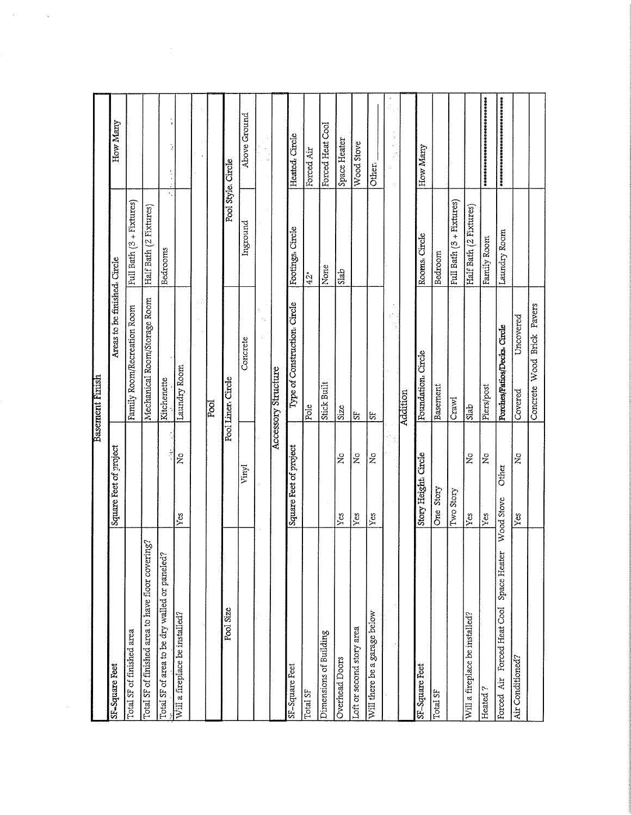|                                                   |                             | Basement Finish              |                          |                                  |  |
|---------------------------------------------------|-----------------------------|------------------------------|--------------------------|----------------------------------|--|
| SF-Square Feet                                    | Square Feet of project      | Areas to be finished. Circle |                          | How Many                         |  |
| Total SF of finished area                         |                             | Family Room/Recreation Room  | Full Bath (3 + Fixtures) |                                  |  |
| Total SF of finished area to have floor covering? |                             | Mechanical Room/Storage Room | Half Bath (2 Fixtures)   |                                  |  |
| Total SF of area to be dry walled or paneled?     | f,<br>اخ                    | Kitchenette                  | ×.<br>Bedrooms           | $\frac{1}{4}$                    |  |
| Will a fireplace be installed?                    | $\tilde{z}$<br>Yes          | Laundry Room                 |                          | ķ                                |  |
|                                                   |                             |                              |                          |                                  |  |
|                                                   |                             | pod                          |                          |                                  |  |
| Pool Size                                         |                             | Pool Liner. Circle           |                          | Pool Style, Circle               |  |
|                                                   | Vinyl                       | Concrete                     | Inground                 | Above Ground                     |  |
|                                                   |                             |                              |                          |                                  |  |
|                                                   |                             | Accessory Structure          |                          |                                  |  |
| SF-Square Feet                                    | Square Feet of project      | Type of Construction. Circle | Footings. Circle         | Heated. Circle                   |  |
| Total SF                                          |                             | Pole                         | 42"                      | Forced Air                       |  |
| Dimensions of Building                            |                             | Stick Built                  | None                     | Forced Heat Cool                 |  |
| <b>Overhead Doors</b>                             | $\tilde{z}$<br>Yes          | Size                         | Slab                     | Space Heater                     |  |
| Loft or second story area                         | $\tilde{z}$<br>Yes          | S,                           |                          | Wood Stove                       |  |
| Will there be a garage below                      | ż<br>Yes                    | ಜ                            |                          | Other.                           |  |
|                                                   |                             |                              |                          |                                  |  |
|                                                   |                             | Addition                     |                          |                                  |  |
| SF-Square Feet                                    | Story Height. Circle        | Foundation. Circle           | Rooms, Circle            | How Many                         |  |
| Total SF                                          | One Story                   | Basement                     | Bedroom                  |                                  |  |
|                                                   | Two Story                   | Crawl                        | Full Bath (3 + Fixtures) |                                  |  |
| Will a fireplace be installed?                    | $\tilde{\mathbf{z}}$<br>Yes | Slab                         | Half Bath (2 Fixtures)   |                                  |  |
| Heated?                                           | $\tilde{\mathbf{z}}$<br>Yes | Piers/post                   | Family Room              | 容标中参照存储台标资源并杂集资源资源分析存储分析存储分析等    |  |
| Space Heater<br>Forced Heat Cool<br>Forced Air    | Other<br>Wood Stove         | Porches/Patios/Decks. Circle | Laundry Room             | 承承债者的股权的责任者的债务责任的责任的责任责任责任责任责任责任 |  |
| Air Conditioned?                                  | ž<br>Yes                    | Uncovered<br>Covered         |                          |                                  |  |
|                                                   |                             | Concrete Wood Brick Pavers   |                          |                                  |  |
|                                                   |                             |                              |                          |                                  |  |

 $\label{eq:2.1} \mathcal{L}(\mathcal{A}) = \mathcal{L}(\mathcal{A}) \mathcal{L}(\mathcal{A})$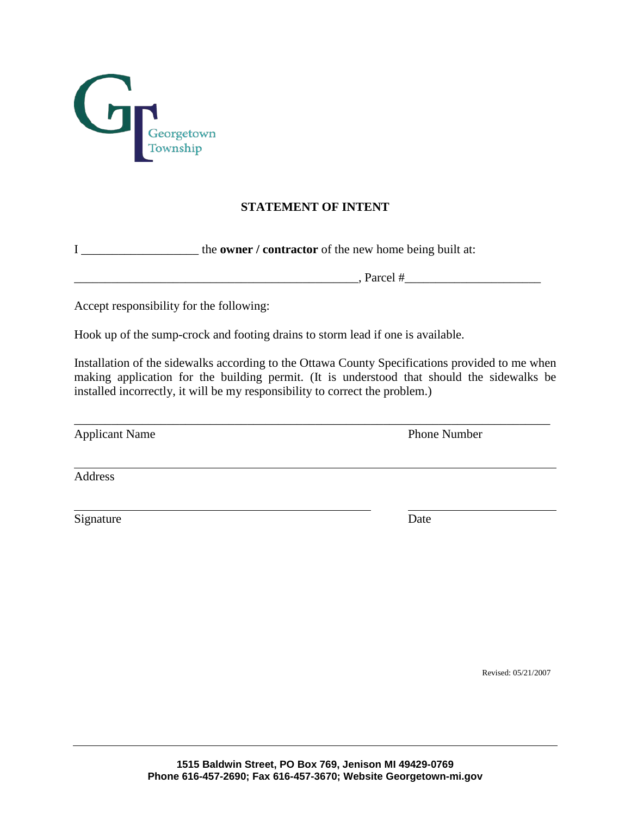

## **STATEMENT OF INTENT**

 $\Box$  Parcel #

I \_\_\_\_\_\_\_\_\_\_\_\_\_\_\_\_\_\_\_ the **owner / contractor** of the new home being built at:

Accept responsibility for the following:

Hook up of the sump-crock and footing drains to storm lead if one is available.

Installation of the sidewalks according to the Ottawa County Specifications provided to me when making application for the building permit. (It is understood that should the sidewalks be installed incorrectly, it will be my responsibility to correct the problem.)

\_\_\_\_\_\_\_\_\_\_\_\_\_\_\_\_\_\_\_\_\_\_\_\_\_\_\_\_\_\_\_\_\_\_\_\_\_\_\_\_\_\_\_\_\_\_\_\_\_\_\_\_\_\_\_\_\_\_\_\_\_\_\_\_\_\_\_\_\_\_\_\_\_\_\_\_\_

Applicant Name Phone Number

Address

Signature Date

Revised: 05/21/2007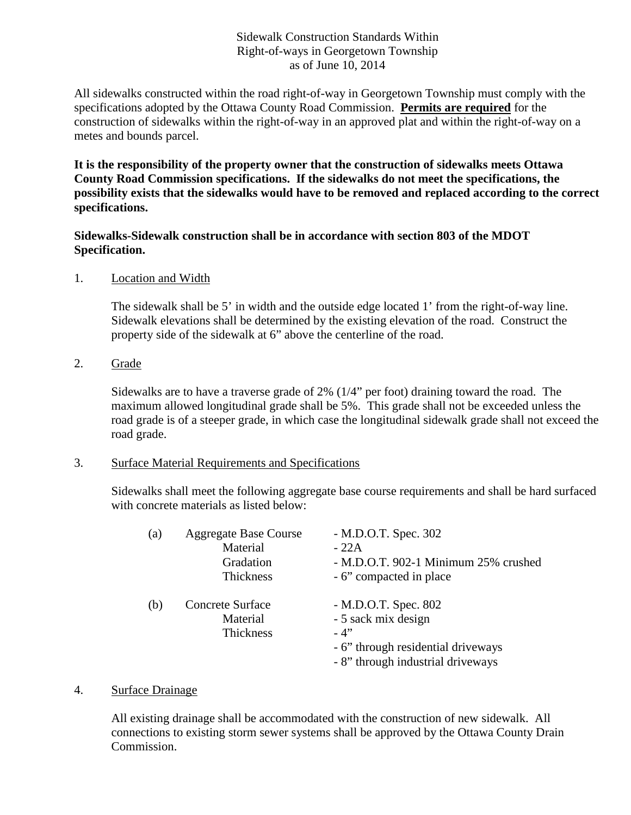### Sidewalk Construction Standards Within Right-of-ways in Georgetown Township as of June 10, 2014

All sidewalks constructed within the road right-of-way in Georgetown Township must comply with the specifications adopted by the Ottawa County Road Commission. **Permits are required** for the construction of sidewalks within the right-of-way in an approved plat and within the right-of-way on a metes and bounds parcel.

**It is the responsibility of the property owner that the construction of sidewalks meets Ottawa County Road Commission specifications. If the sidewalks do not meet the specifications, the possibility exists that the sidewalks would have to be removed and replaced according to the correct specifications.**

#### **Sidewalks-Sidewalk construction shall be in accordance with section 803 of the MDOT Specification.**

1. Location and Width

The sidewalk shall be 5' in width and the outside edge located 1' from the right-of-way line. Sidewalk elevations shall be determined by the existing elevation of the road. Construct the property side of the sidewalk at 6" above the centerline of the road.

2. Grade

Sidewalks are to have a traverse grade of 2% (1/4" per foot) draining toward the road. The maximum allowed longitudinal grade shall be 5%. This grade shall not be exceeded unless the road grade is of a steeper grade, in which case the longitudinal sidewalk grade shall not exceed the road grade.

#### 3. Surface Material Requirements and Specifications

Sidewalks shall meet the following aggregate base course requirements and shall be hard surfaced with concrete materials as listed below:

| (a) | <b>Aggregate Base Course</b><br>Material<br>Gradation<br><b>Thickness</b> | - M.D.O.T. Spec. 302<br>$-22A$<br>- M.D.O.T. 902-1 Minimum 25% crushed<br>- 6" compacted in place                               |
|-----|---------------------------------------------------------------------------|---------------------------------------------------------------------------------------------------------------------------------|
| (b) | Concrete Surface<br>Material<br><b>Thickness</b>                          | - M.D.O.T. Spec. 802<br>- 5 sack mix design<br>$-4"$<br>- 6" through residential driveways<br>- 8" through industrial driveways |

4. Surface Drainage

All existing drainage shall be accommodated with the construction of new sidewalk. All connections to existing storm sewer systems shall be approved by the Ottawa County Drain Commission.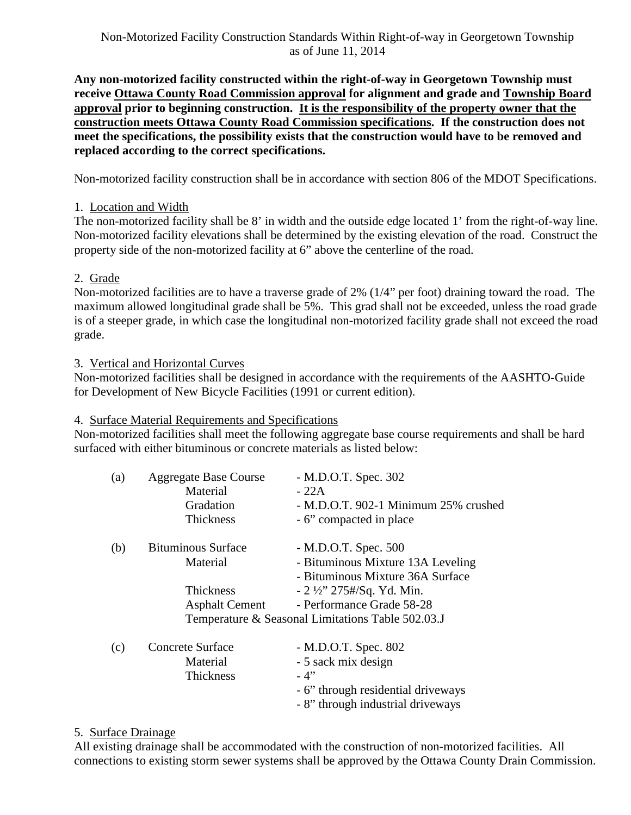**Any non-motorized facility constructed within the right-of-way in Georgetown Township must receive Ottawa County Road Commission approval for alignment and grade and Township Board approval prior to beginning construction. It is the responsibility of the property owner that the construction meets Ottawa County Road Commission specifications. If the construction does not meet the specifications, the possibility exists that the construction would have to be removed and replaced according to the correct specifications.**

Non-motorized facility construction shall be in accordance with section 806 of the MDOT Specifications.

## 1. Location and Width

The non-motorized facility shall be 8' in width and the outside edge located 1' from the right-of-way line. Non-motorized facility elevations shall be determined by the existing elevation of the road. Construct the property side of the non-motorized facility at 6" above the centerline of the road.

## 2. Grade

Non-motorized facilities are to have a traverse grade of 2% (1/4" per foot) draining toward the road. The maximum allowed longitudinal grade shall be 5%. This grad shall not be exceeded, unless the road grade is of a steeper grade, in which case the longitudinal non-motorized facility grade shall not exceed the road grade.

3. Vertical and Horizontal Curves

Non-motorized facilities shall be designed in accordance with the requirements of the AASHTO-Guide for Development of New Bicycle Facilities (1991 or current edition).

## 4. Surface Material Requirements and Specifications

Non-motorized facilities shall meet the following aggregate base course requirements and shall be hard surfaced with either bituminous or concrete materials as listed below:

| (a) | <b>Aggregate Base Course</b> | - M.D.O.T. Spec. 302                              |
|-----|------------------------------|---------------------------------------------------|
|     | Material                     | - 22A                                             |
|     | Gradation                    | - M.D.O.T. 902-1 Minimum 25% crushed              |
|     | <b>Thickness</b>             | - 6" compacted in place                           |
| (b) | <b>Bituminous Surface</b>    | - M.D.O.T. Spec. 500                              |
|     | Material                     | - Bituminous Mixture 13A Leveling                 |
|     |                              | - Bituminous Mixture 36A Surface                  |
|     | <b>Thickness</b>             | $-2\frac{1}{2}$ 275#/Sq. Yd. Min.                 |
|     | <b>Asphalt Cement</b>        | - Performance Grade 58-28                         |
|     |                              | Temperature & Seasonal Limitations Table 502.03.J |
| (c) | Concrete Surface             | - M.D.O.T. Spec. 802                              |
|     | Material                     | - 5 sack mix design                               |
|     | Thickness                    | - 4"                                              |
|     |                              | - 6" through residential driveways                |
|     |                              | - 8" through industrial driveways                 |

## 5. Surface Drainage

All existing drainage shall be accommodated with the construction of non-motorized facilities. All connections to existing storm sewer systems shall be approved by the Ottawa County Drain Commission.